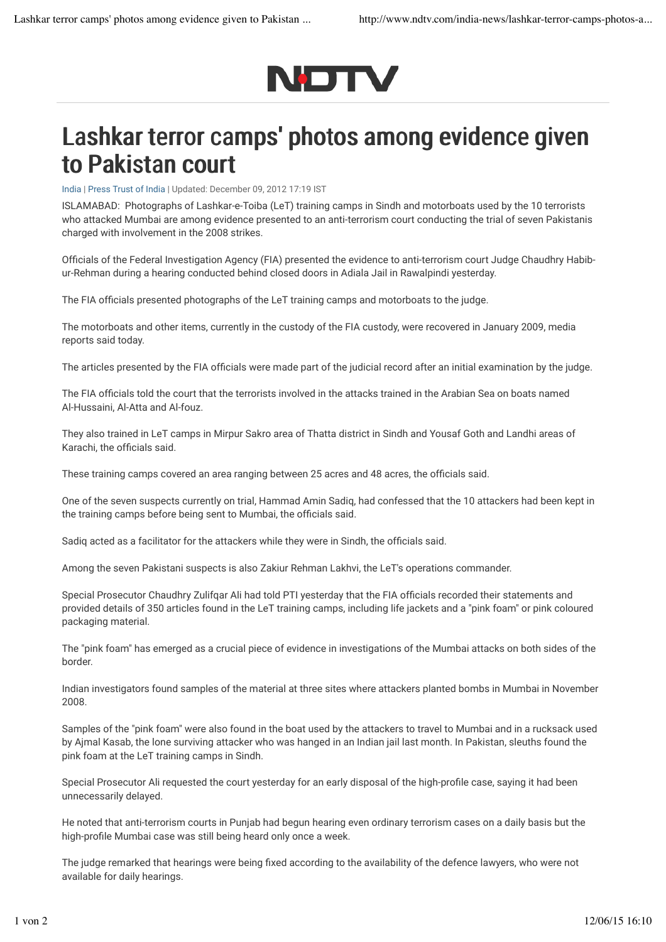

## Lashkar terror camps' photos among evidence given to Pakistan court

India | Press Trust of India | Updated: December 09, 2012 17:19 IST

ISLAMABAD: Photographs of Lashkar-e-Toiba (LeT) training camps in Sindh and motorboats used by the 10 terrorists who attacked Mumbai are among evidence presented to an anti-terrorism court conducting the trial of seven Pakistanis charged with involvement in the 2008 strikes.

Officials of the Federal Investigation Agency (FIA) presented the evidence to anti-terrorism court Judge Chaudhry Habibur-Rehman during a hearing conducted behind closed doors in Adiala Jail in Rawalpindi yesterday.

The FIA officials presented photographs of the LeT training camps and motorboats to the judge.

The motorboats and other items, currently in the custody of the FIA custody, were recovered in January 2009, media reports said today.

The articles presented by the FIA officials were made part of the judicial record after an initial examination by the judge.

The FIA officials told the court that the terrorists involved in the attacks trained in the Arabian Sea on boats named Al-Hussaini, Al-Atta and Al-fouz.

They also trained in LeT camps in Mirpur Sakro area of Thatta district in Sindh and Yousaf Goth and Landhi areas of Karachi, the officials said.

These training camps covered an area ranging between 25 acres and 48 acres, the officials said.

One of the seven suspects currently on trial, Hammad Amin Sadiq, had confessed that the 10 attackers had been kept in the training camps before being sent to Mumbai, the officials said.

Sadiq acted as a facilitator for the attackers while they were in Sindh, the officials said.

Among the seven Pakistani suspects is also Zakiur Rehman Lakhvi, the LeT's operations commander.

Special Prosecutor Chaudhry Zulifqar Ali had told PTI yesterday that the FIA officials recorded their statements and provided details of 350 articles found in the LeT training camps, including life jackets and a "pink foam" or pink coloured packaging material.

The "pink foam" has emerged as a crucial piece of evidence in investigations of the Mumbai attacks on both sides of the border.

Indian investigators found samples of the material at three sites where attackers planted bombs in Mumbai in November 2008.

Samples of the "pink foam" were also found in the boat used by the attackers to travel to Mumbai and in a rucksack used by Ajmal Kasab, the lone surviving attacker who was hanged in an Indian jail last month. In Pakistan, sleuths found the pink foam at the LeT training camps in Sindh.

Special Prosecutor Ali requested the court yesterday for an early disposal of the high-profile case, saying it had been unnecessarily delayed.

He noted that anti-terrorism courts in Punjab had begun hearing even ordinary terrorism cases on a daily basis but the high-profile Mumbai case was still being heard only once a week.

The judge remarked that hearings were being fixed according to the availability of the defence lawyers, who were not available for daily hearings.